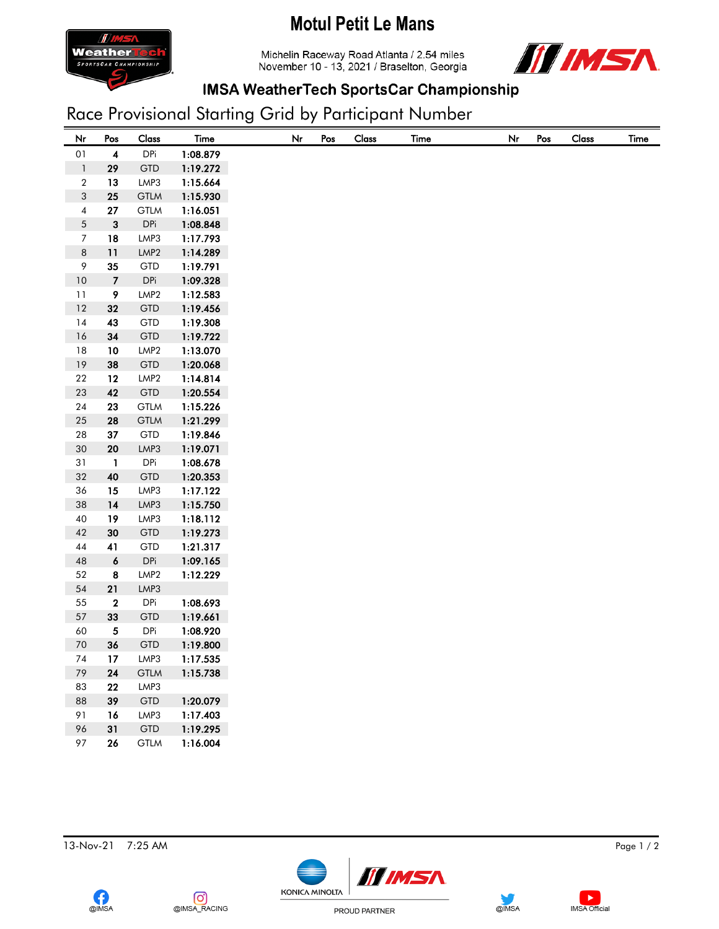## **Motul Petit Le Mans**



Michelin Raceway Road Atlanta / 2.54 miles November 10 - 13, 2021 / Braselton, Georgia



## **IMSA WeatherTech SportsCar Championship**

## Race Provisional Starting Grid by Participant Number

| Nr                       | Pos              | Class            | Time     | Nr | Pos | Class | <b>Time</b> | Nr | Pos |
|--------------------------|------------------|------------------|----------|----|-----|-------|-------------|----|-----|
|                          | $\boldsymbol{4}$ | <b>DPi</b>       | 1:08.879 |    |     |       |             |    |     |
| $01\,$<br>$\mathbf 1$    | 29               | <b>GTD</b>       | 1:19.272 |    |     |       |             |    |     |
| $\sqrt{2}$               | 13               | LMP3             | 1:15.664 |    |     |       |             |    |     |
| $\sqrt{3}$               | 25               | <b>GTLM</b>      | 1:15.930 |    |     |       |             |    |     |
| $\overline{\mathcal{A}}$ | ${\bf 27}$       | <b>GTLM</b>      | 1:16.051 |    |     |       |             |    |     |
| $\sqrt{5}$               | 3                | DPi              | 1:08.848 |    |     |       |             |    |     |
| $\boldsymbol{7}$         | 18               | LMP3             | 1:17.793 |    |     |       |             |    |     |
| $\,8\,$                  | 11               | LMP <sub>2</sub> | 1:14.289 |    |     |       |             |    |     |
| $\,9$                    | 35               | <b>GTD</b>       | 1:19.791 |    |     |       |             |    |     |
| $10$                     | $\boldsymbol{7}$ | <b>DPi</b>       | 1:09.328 |    |     |       |             |    |     |
| 11                       | 9                | LMP2             | 1:12.583 |    |     |       |             |    |     |
| $12\,$                   | 32               | <b>GTD</b>       | 1:19.456 |    |     |       |             |    |     |
| 14                       | 43               | <b>GTD</b>       | 1:19.308 |    |     |       |             |    |     |
|                          | 34               | <b>GTD</b>       | 1:19.722 |    |     |       |             |    |     |
| $18\,$                   | 10               | LMP2             | 1:13.070 |    |     |       |             |    |     |
|                          | 38               | <b>GTD</b>       | 1:20.068 |    |     |       |             |    |     |
|                          | 12               | LMP <sub>2</sub> | 1:14.814 |    |     |       |             |    |     |
| $23\,$                   | 42               | <b>GTD</b>       | 1:20.554 |    |     |       |             |    |     |
|                          | 23               | <b>GTLM</b>      | 1:15.226 |    |     |       |             |    |     |
| $25\,$                   | 28               | <b>GTLM</b>      | 1:21.299 |    |     |       |             |    |     |
| ${\bf 28}$               | $37\,$           | <b>GTD</b>       | 1:19.846 |    |     |       |             |    |     |
| $30\,$                   | ${\bf 20}$       | LMP3             | 1:19.071 |    |     |       |             |    |     |
| 31                       | $\mathbf{1}$     | <b>DPi</b>       | 1:08.678 |    |     |       |             |    |     |
| 32                       | 40               | <b>GTD</b>       | 1:20.353 |    |     |       |             |    |     |
| 36                       | 15               | LMP3             | 1:17.122 |    |     |       |             |    |     |
| $38\,$                   | $14$             | LMP3             | 1:15.750 |    |     |       |             |    |     |
| $40\,$                   | 19               | LMP3             | 1:18.112 |    |     |       |             |    |     |
|                          | $30\,$           | <b>GTD</b>       | 1:19.273 |    |     |       |             |    |     |
| 44<br>48                 | 41               | <b>GTD</b>       | 1:21.317 |    |     |       |             |    |     |
|                          | $\pmb{6}$        | <b>DPi</b>       | 1:09.165 |    |     |       |             |    |     |
|                          | 8                | LMP2             | 1:12.229 |    |     |       |             |    |     |
|                          | ${\bf 21}$       | LMP3             |          |    |     |       |             |    |     |
| 55                       | $\bf 2$          | <b>DPi</b>       | 1:08.693 |    |     |       |             |    |     |
| 57<br>60                 | 33               | <b>GTD</b>       | 1:19.661 |    |     |       |             |    |     |
|                          | 5                | <b>DPi</b>       | 1:08.920 |    |     |       |             |    |     |
| $70\,$<br>74             | 36               | <b>GTD</b>       | 1:19.800 |    |     |       |             |    |     |
|                          | 17               | LMP3             | 1:17.535 |    |     |       |             |    |     |
| 79<br>83                 | ${\bf 24}$       | <b>GTLM</b>      | 1:15.738 |    |     |       |             |    |     |
|                          | 22               | LMP3             |          |    |     |       |             |    |     |
|                          | 39               | GTD              | 1:20.079 |    |     |       |             |    |     |
|                          | 16               | LMP3             | 1:17.403 |    |     |       |             |    |     |
|                          | 31               | GTD              | 1:19.295 |    |     |       |             |    |     |
|                          | 26               | <b>GTLM</b>      | 1:16.004 |    |     |       |             |    |     |

13-Nov-21 7:25 AM Page 1 / 2





 $\blacktriangleright$ 

**IMSA** Official